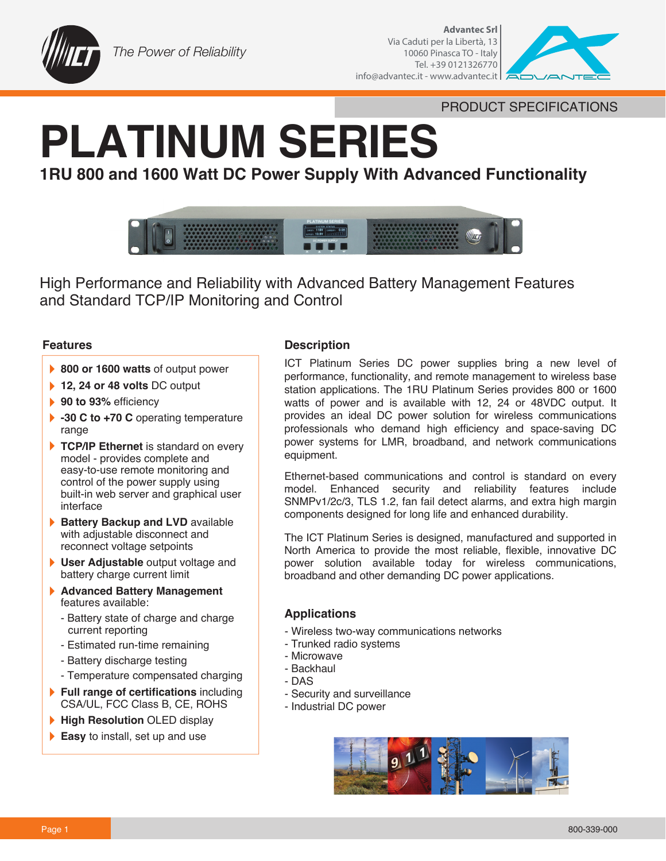



PRODUCT SPECIFICATIONS

# **PLATINUM SERIES**

# **1RU 800 and 1600 Watt DC Power Supply With Advanced Functionality**



High Performance and Reliability with Advanced Battery Management Features and Standard TCP/IP Monitoring and Control

# **Features**

- ▶ 800 or 1600 watts of output power
- **12, 24 or 48 volts DC output**
- **90 to 93% efficiency**
- **-30 C to +70 C** operating temperature range
- TCP/IP Ethernet is standard on every model - provides complete and easy-to-use remote monitoring and control of the power supply using built-in web server and graphical user interface
- **Battery Backup and LVD** available with adjustable disconnect and reconnect voltage setpoints
- **User Adjustable** output voltage and battery charge current limit
- **Advanced Battery Management**  } features available:
	- Battery state of charge and charge current reporting
	- Estimated run-time remaining
	- Battery discharge testing
	- Temperature compensated charging
- **Full range of certifications** including CSA/UL, FCC Class B, CE, ROHS
- **High Resolution OLED display**
- **Easy** to install, set up and use

## **Description**

ICT Platinum Series DC power supplies bring a new level of performance, functionality, and remote management to wireless base station applications. The 1RU Platinum Series provides 800 or 1600 watts of power and is available with 12, 24 or 48VDC output. It provides an ideal DC power solution for wireless communications professionals who demand high efficiency and space-saving DC power systems for LMR, broadband, and network communications equipment.

Ethernet-based communications and control is standard on every model. Enhanced security and reliability features include SNMPv1/2c/3, TLS 1.2, fan fail detect alarms, and extra high margin components designed for long life and enhanced durability.

The ICT Platinum Series is designed, manufactured and supported in North America to provide the most reliable, flexible, innovative DC power solution available today for wireless communications, broadband and other demanding DC power applications.

# **Applications**

- Wireless two-way communications networks
- Trunked radio systems
- Microwave
- Backhaul
- DAS
- Security and surveillance
- Industrial DC power